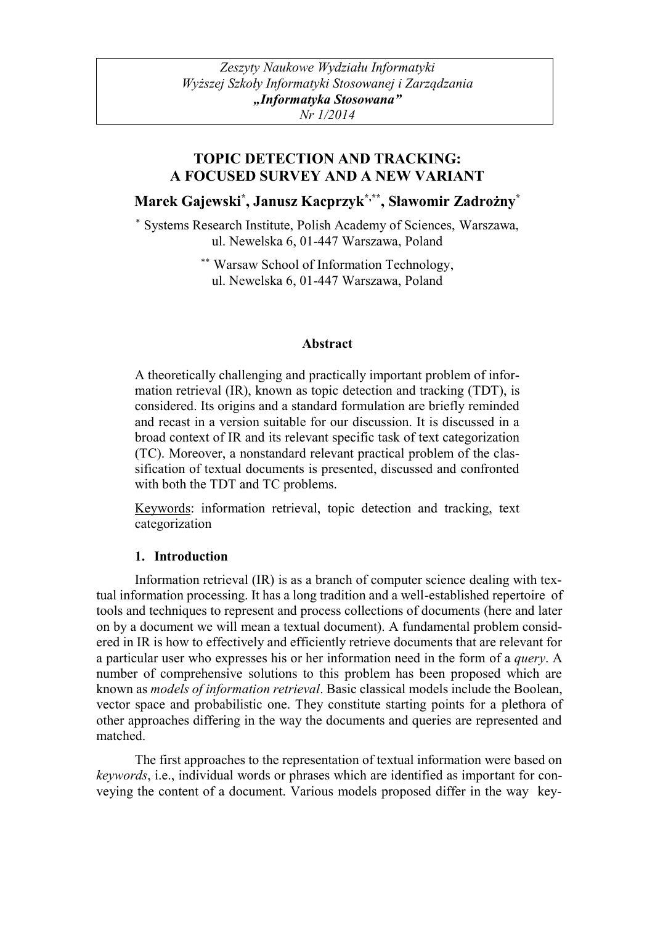# **TOPIC DETECTION AND TRACKING: A FOCUSED SURVEY AND A NEW VARIANT**

**Marek Gajewski\* , Janusz Kacprzyk\*,\*\*, Sławomir Zadrożny\***

\* Systems Research Institute, Polish Academy of Sciences, Warszawa, ul. Newelska 6, 01-447 Warszawa, Poland

> \*\* Warsaw School of Information Technology, ul. Newelska 6, 01-447 Warszawa, Poland

## **Abstract**

A theoretically challenging and practically important problem of information retrieval (IR), known as topic detection and tracking (TDT), is considered. Its origins and a standard formulation are briefly reminded and recast in a version suitable for our discussion. It is discussed in a broad context of IR and its relevant specific task of text categorization (TC). Moreover, a nonstandard relevant practical problem of the classification of textual documents is presented, discussed and confronted with both the TDT and TC problems.

Keywords: information retrieval, topic detection and tracking, text categorization

## **1. Introduction**

Information retrieval (IR) is as a branch of computer science dealing with textual information processing. It has a long tradition and a well-established repertoire of tools and techniques to represent and process collections of documents (here and later on by a document we will mean a textual document). A fundamental problem considered in IR is how to effectively and efficiently retrieve documents that are relevant for a particular user who expresses his or her information need in the form of a *query*. A number of comprehensive solutions to this problem has been proposed which are known as *models of information retrieval*. Basic classical models include the Boolean, vector space and probabilistic one. They constitute starting points for a plethora of other approaches differing in the way the documents and queries are represented and matched.

The first approaches to the representation of textual information were based on *keywords*, i.e., individual words or phrases which are identified as important for conveying the content of a document. Various models proposed differ in the way key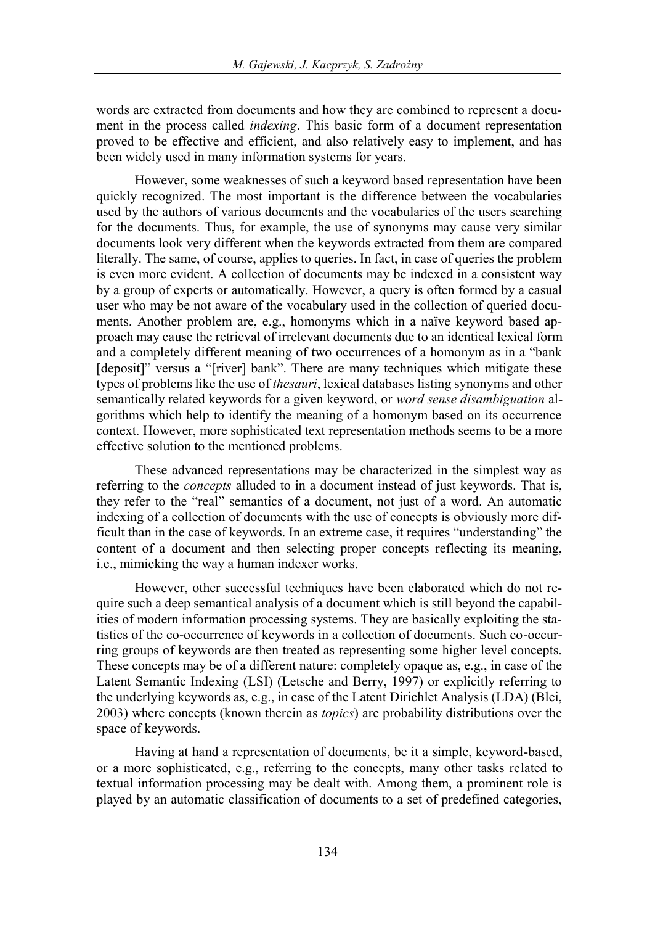words are extracted from documents and how they are combined to represent a document in the process called *indexing*. This basic form of a document representation proved to be effective and efficient, and also relatively easy to implement, and has been widely used in many information systems for years.

However, some weaknesses of such a keyword based representation have been quickly recognized. The most important is the difference between the vocabularies used by the authors of various documents and the vocabularies of the users searching for the documents. Thus, for example, the use of synonyms may cause very similar documents look very different when the keywords extracted from them are compared literally. The same, of course, applies to queries. In fact, in case of queries the problem is even more evident. A collection of documents may be indexed in a consistent way by a group of experts or automatically. However, a query is often formed by a casual user who may be not aware of the vocabulary used in the collection of queried documents. Another problem are, e.g., homonyms which in a naïve keyword based approach may cause the retrieval of irrelevant documents due to an identical lexical form and a completely different meaning of two occurrences of a homonym as in a "bank [deposit]" versus a "[river] bank". There are many techniques which mitigate these types of problems like the use of *thesauri*, lexical databases listing synonyms and other semantically related keywords for a given keyword, or *word sense disambiguation* algorithms which help to identify the meaning of a homonym based on its occurrence context. However, more sophisticated text representation methods seems to be a more effective solution to the mentioned problems.

These advanced representations may be characterized in the simplest way as referring to the *concepts* alluded to in a document instead of just keywords. That is, they refer to the "real" semantics of a document, not just of a word. An automatic indexing of a collection of documents with the use of concepts is obviously more difficult than in the case of keywords. In an extreme case, it requires "understanding" the content of a document and then selecting proper concepts reflecting its meaning, i.e., mimicking the way a human indexer works.

However, other successful techniques have been elaborated which do not require such a deep semantical analysis of a document which is still beyond the capabilities of modern information processing systems. They are basically exploiting the statistics of the co-occurrence of keywords in a collection of documents. Such co-occurring groups of keywords are then treated as representing some higher level concepts. These concepts may be of a different nature: completely opaque as, e.g., in case of the Latent Semantic Indexing (LSI) (Letsche and Berry, 1997) or explicitly referring to the underlying keywords as, e.g., in case of the Latent Dirichlet Analysis (LDA) (Blei, 2003) where concepts (known therein as *topics*) are probability distributions over the space of keywords.

Having at hand a representation of documents, be it a simple, keyword-based, or a more sophisticated, e.g., referring to the concepts, many other tasks related to textual information processing may be dealt with. Among them, a prominent role is played by an automatic classification of documents to a set of predefined categories,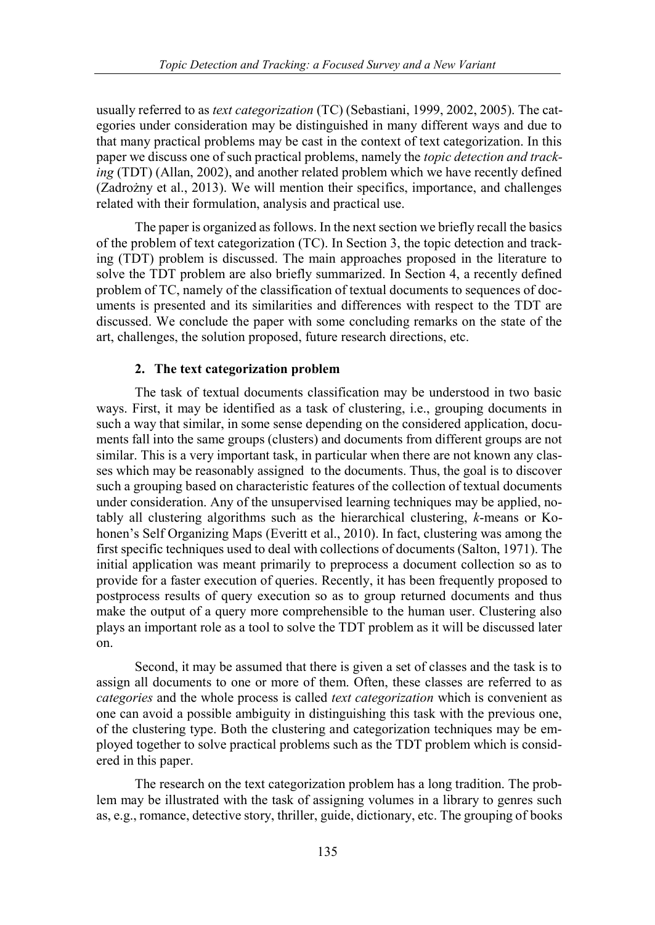usually referred to as *text categorization* (TC) (Sebastiani, 1999, 2002, 2005). The categories under consideration may be distinguished in many different ways and due to that many practical problems may be cast in the context of text categorization. In this paper we discuss one of such practical problems, namely the *topic detection and tracking* (TDT) (Allan, 2002), and another related problem which we have recently defined (Zadrożny et al., 2013). We will mention their specifics, importance, and challenges related with their formulation, analysis and practical use.

The paper is organized as follows. In the next section we briefly recall the basics of the problem of text categorization (TC). In Section 3, the topic detection and tracking (TDT) problem is discussed. The main approaches proposed in the literature to solve the TDT problem are also briefly summarized. In Section 4, a recently defined problem of TC, namely of the classification of textual documents to sequences of documents is presented and its similarities and differences with respect to the TDT are discussed. We conclude the paper with some concluding remarks on the state of the art, challenges, the solution proposed, future research directions, etc.

#### **2. The text categorization problem**

The task of textual documents classification may be understood in two basic ways. First, it may be identified as a task of clustering, i.e., grouping documents in such a way that similar, in some sense depending on the considered application, documents fall into the same groups (clusters) and documents from different groups are not similar. This is a very important task, in particular when there are not known any classes which may be reasonably assigned to the documents. Thus, the goal is to discover such a grouping based on characteristic features of the collection of textual documents under consideration. Any of the unsupervised learning techniques may be applied, notably all clustering algorithms such as the hierarchical clustering, *k*-means or Kohonen's Self Organizing Maps (Everitt et al., 2010). In fact, clustering was among the first specific techniques used to deal with collections of documents (Salton, 1971). The initial application was meant primarily to preprocess a document collection so as to provide for a faster execution of queries. Recently, it has been frequently proposed to postprocess results of query execution so as to group returned documents and thus make the output of a query more comprehensible to the human user. Clustering also plays an important role as a tool to solve the TDT problem as it will be discussed later on.

Second, it may be assumed that there is given a set of classes and the task is to assign all documents to one or more of them. Often, these classes are referred to as *categories* and the whole process is called *text categorization* which is convenient as one can avoid a possible ambiguity in distinguishing this task with the previous one, of the clustering type. Both the clustering and categorization techniques may be employed together to solve practical problems such as the TDT problem which is considered in this paper.

The research on the text categorization problem has a long tradition. The problem may be illustrated with the task of assigning volumes in a library to genres such as, e.g., romance, detective story, thriller, guide, dictionary, etc. The grouping of books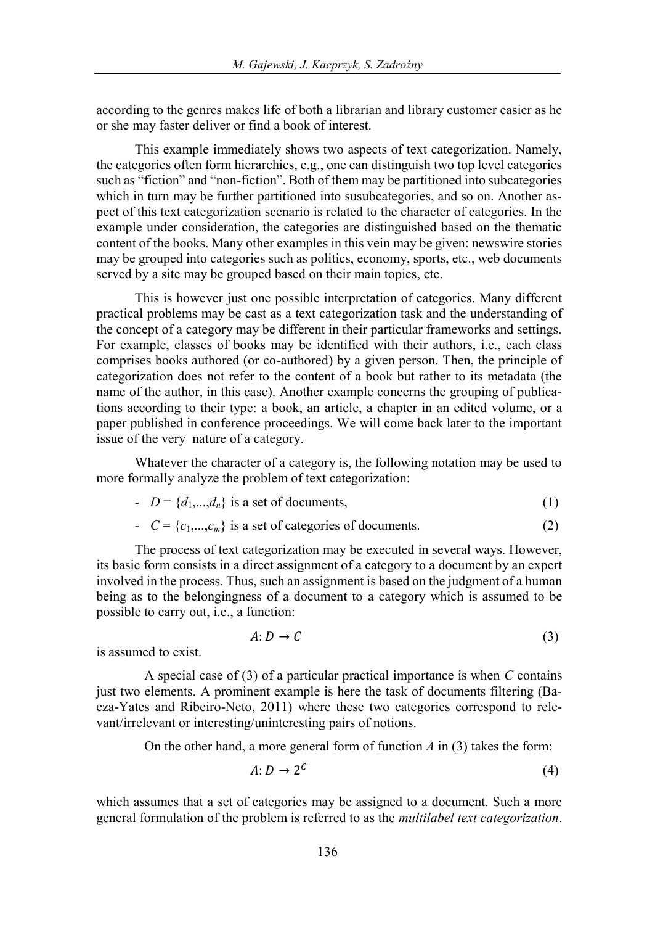according to the genres makes life of both a librarian and library customer easier as he or she may faster deliver or find a book of interest.

This example immediately shows two aspects of text categorization. Namely, the categories often form hierarchies, e.g., one can distinguish two top level categories such as "fiction" and "non-fiction". Both of them may be partitioned into subcategories which in turn may be further partitioned into susubcategories, and so on. Another aspect of this text categorization scenario is related to the character of categories. In the example under consideration, the categories are distinguished based on the thematic content of the books. Many other examples in this vein may be given: newswire stories may be grouped into categories such as politics, economy, sports, etc., web documents served by a site may be grouped based on their main topics, etc.

This is however just one possible interpretation of categories. Many different practical problems may be cast as a text categorization task and the understanding of the concept of a category may be different in their particular frameworks and settings. For example, classes of books may be identified with their authors, i.e., each class comprises books authored (or co-authored) by a given person. Then, the principle of categorization does not refer to the content of a book but rather to its metadata (the name of the author, in this case). Another example concerns the grouping of publications according to their type: a book, an article, a chapter in an edited volume, or a paper published in conference proceedings. We will come back later to the important issue of the very nature of a category.

Whatever the character of a category is, the following notation may be used to more formally analyze the problem of text categorization:

$$
- D = \{d_1, \dots, d_n\} \text{ is a set of documents,}
$$
 (1)

$$
C = \{c_1, \ldots, c_m\} \text{ is a set of categories of documents.} \tag{2}
$$

The process of text categorization may be executed in several ways. However, its basic form consists in a direct assignment of a category to a document by an expert involved in the process. Thus, such an assignment is based on the judgment of a human being as to the belongingness of a document to a category which is assumed to be possible to carry out, i.e., a function:

$$
A: D \to C \tag{3}
$$

is assumed to exist.

A special case of (3) of a particular practical importance is when *C* contains just two elements. A prominent example is here the task of documents filtering (Baeza-Yates and Ribeiro-Neto, 2011) where these two categories correspond to relevant/irrelevant or interesting/uninteresting pairs of notions.

On the other hand, a more general form of function *A* in (3) takes the form:

$$
A: D \to 2^C \tag{4}
$$

which assumes that a set of categories may be assigned to a document. Such a more general formulation of the problem is referred to as the *multilabel text categorization*.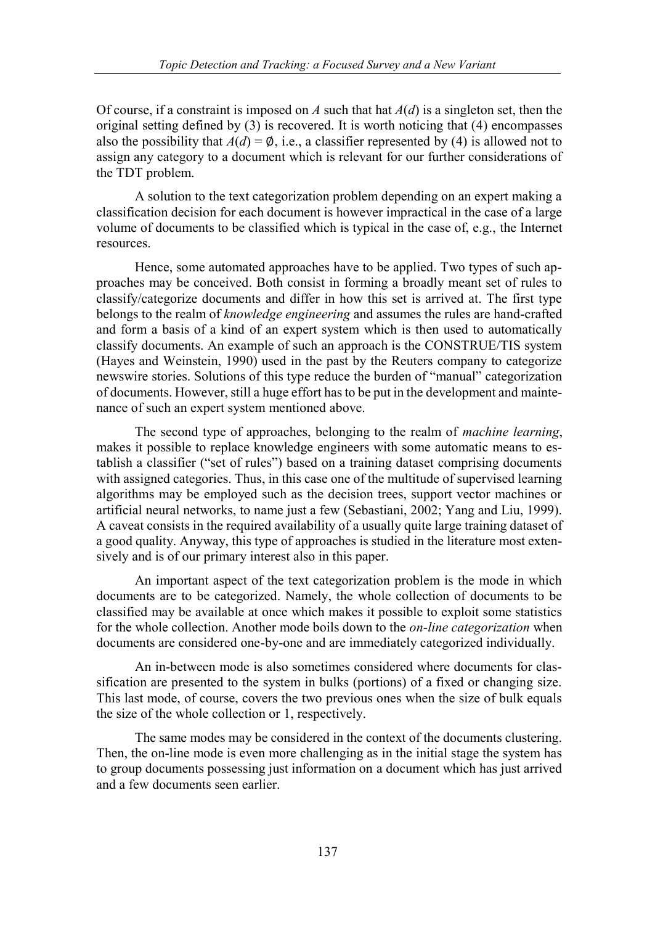Of course, if a constraint is imposed on *A* such that hat *A*(*d*) is a singleton set, then the original setting defined by  $(3)$  is recovered. It is worth noticing that  $(4)$  encompasses also the possibility that  $A(d) = \emptyset$ , i.e., a classifier represented by (4) is allowed not to assign any category to a document which is relevant for our further considerations of the TDT problem.

A solution to the text categorization problem depending on an expert making a classification decision for each document is however impractical in the case of a large volume of documents to be classified which is typical in the case of, e.g., the Internet resources.

Hence, some automated approaches have to be applied. Two types of such approaches may be conceived. Both consist in forming a broadly meant set of rules to classify/categorize documents and differ in how this set is arrived at. The first type belongs to the realm of *knowledge engineering* and assumes the rules are hand-crafted and form a basis of a kind of an expert system which is then used to automatically classify documents. An example of such an approach is the CONSTRUE/TIS system (Hayes and Weinstein, 1990) used in the past by the Reuters company to categorize newswire stories. Solutions of this type reduce the burden of "manual" categorization of documents. However, still a huge effort has to be put in the development and maintenance of such an expert system mentioned above.

The second type of approaches, belonging to the realm of *machine learning*, makes it possible to replace knowledge engineers with some automatic means to establish a classifier ("set of rules") based on a training dataset comprising documents with assigned categories. Thus, in this case one of the multitude of supervised learning algorithms may be employed such as the decision trees, support vector machines or artificial neural networks, to name just a few (Sebastiani, 2002; Yang and Liu, 1999). A caveat consists in the required availability of a usually quite large training dataset of a good quality. Anyway, this type of approaches is studied in the literature most extensively and is of our primary interest also in this paper.

An important aspect of the text categorization problem is the mode in which documents are to be categorized. Namely, the whole collection of documents to be classified may be available at once which makes it possible to exploit some statistics for the whole collection. Another mode boils down to the *on-line categorization* when documents are considered one-by-one and are immediately categorized individually.

An in-between mode is also sometimes considered where documents for classification are presented to the system in bulks (portions) of a fixed or changing size. This last mode, of course, covers the two previous ones when the size of bulk equals the size of the whole collection or 1, respectively.

The same modes may be considered in the context of the documents clustering. Then, the on-line mode is even more challenging as in the initial stage the system has to group documents possessing just information on a document which has just arrived and a few documents seen earlier.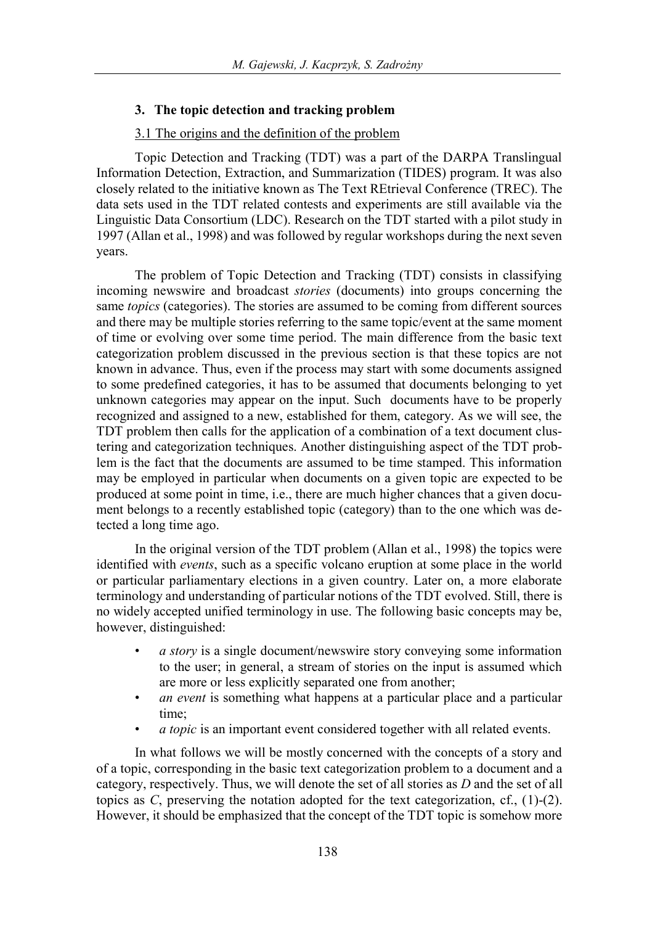#### **3. The topic detection and tracking problem**

#### 3.1 The origins and the definition of the problem

Topic Detection and Tracking (TDT) was a part of the DARPA Translingual Information Detection, Extraction, and Summarization (TIDES) program. It was also closely related to the initiative known as The Text REtrieval Conference (TREC). The data sets used in the TDT related contests and experiments are still available via the Linguistic Data Consortium (LDC). Research on the TDT started with a pilot study in 1997 (Allan et al., 1998) and was followed by regular workshops during the next seven years.

The problem of Topic Detection and Tracking (TDT) consists in classifying incoming newswire and broadcast *stories* (documents) into groups concerning the same *topics* (categories). The stories are assumed to be coming from different sources and there may be multiple stories referring to the same topic/event at the same moment of time or evolving over some time period. The main difference from the basic text categorization problem discussed in the previous section is that these topics are not known in advance. Thus, even if the process may start with some documents assigned to some predefined categories, it has to be assumed that documents belonging to yet unknown categories may appear on the input. Such documents have to be properly recognized and assigned to a new, established for them, category. As we will see, the TDT problem then calls for the application of a combination of a text document clustering and categorization techniques. Another distinguishing aspect of the TDT problem is the fact that the documents are assumed to be time stamped. This information may be employed in particular when documents on a given topic are expected to be produced at some point in time, i.e., there are much higher chances that a given document belongs to a recently established topic (category) than to the one which was detected a long time ago.

In the original version of the TDT problem (Allan et al., 1998) the topics were identified with *events*, such as a specific volcano eruption at some place in the world or particular parliamentary elections in a given country. Later on, a more elaborate terminology and understanding of particular notions of the TDT evolved. Still, there is no widely accepted unified terminology in use. The following basic concepts may be, however, distinguished:

- *a story* is a single document/newswire story conveying some information to the user; in general, a stream of stories on the input is assumed which are more or less explicitly separated one from another;
- *an event* is something what happens at a particular place and a particular time;
- *a topic* is an important event considered together with all related events.

In what follows we will be mostly concerned with the concepts of a story and of a topic, corresponding in the basic text categorization problem to a document and a category, respectively. Thus, we will denote the set of all stories as *D* and the set of all topics as *C*, preserving the notation adopted for the text categorization, cf., (1)-(2). However, it should be emphasized that the concept of the TDT topic is somehow more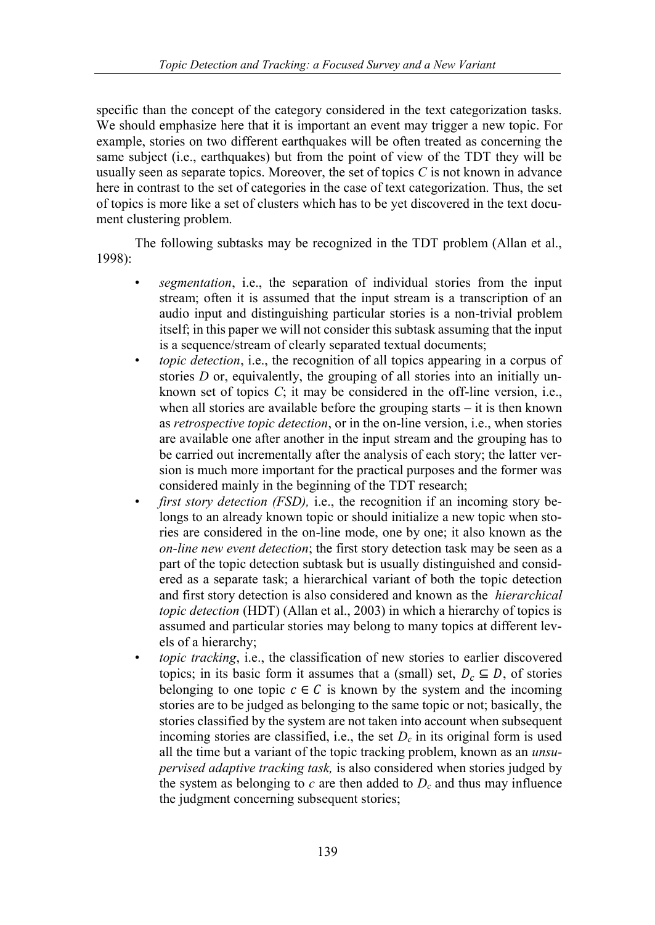specific than the concept of the category considered in the text categorization tasks. We should emphasize here that it is important an event may trigger a new topic. For example, stories on two different earthquakes will be often treated as concerning the same subject (i.e., earthquakes) but from the point of view of the TDT they will be usually seen as separate topics. Moreover, the set of topics *C* is not known in advance here in contrast to the set of categories in the case of text categorization. Thus, the set of topics is more like a set of clusters which has to be yet discovered in the text document clustering problem.

The following subtasks may be recognized in the TDT problem (Allan et al., 1998):

- *segmentation*, i.e., the separation of individual stories from the input stream; often it is assumed that the input stream is a transcription of an audio input and distinguishing particular stories is a non-trivial problem itself; in this paper we will not consider this subtask assuming that the input is a sequence/stream of clearly separated textual documents;
- *topic detection*, i.e., the recognition of all topics appearing in a corpus of stories *D* or, equivalently, the grouping of all stories into an initially unknown set of topics *C*; it may be considered in the off-line version, i.e., when all stories are available before the grouping starts – it is then known as *retrospective topic detection*, or in the on-line version, i.e., when stories are available one after another in the input stream and the grouping has to be carried out incrementally after the analysis of each story; the latter version is much more important for the practical purposes and the former was considered mainly in the beginning of the TDT research;
- *first story detection (FSD),* i.e., the recognition if an incoming story belongs to an already known topic or should initialize a new topic when stories are considered in the on-line mode, one by one; it also known as the *on-line new event detection*; the first story detection task may be seen as a part of the topic detection subtask but is usually distinguished and considered as a separate task; a hierarchical variant of both the topic detection and first story detection is also considered and known as the *hierarchical topic detection* (HDT) (Allan et al., 2003) in which a hierarchy of topics is assumed and particular stories may belong to many topics at different levels of a hierarchy;
- *topic tracking*, i.e., the classification of new stories to earlier discovered topics; in its basic form it assumes that a (small) set,  $D_c \subseteq D$ , of stories belonging to one topic  $c \in C$  is known by the system and the incoming stories are to be judged as belonging to the same topic or not; basically, the stories classified by the system are not taken into account when subsequent incoming stories are classified, i.e., the set  $D_c$  in its original form is used all the time but a variant of the topic tracking problem, known as an *unsupervised adaptive tracking task,* is also considered when stories judged by the system as belonging to  $c$  are then added to  $D_c$  and thus may influence the judgment concerning subsequent stories;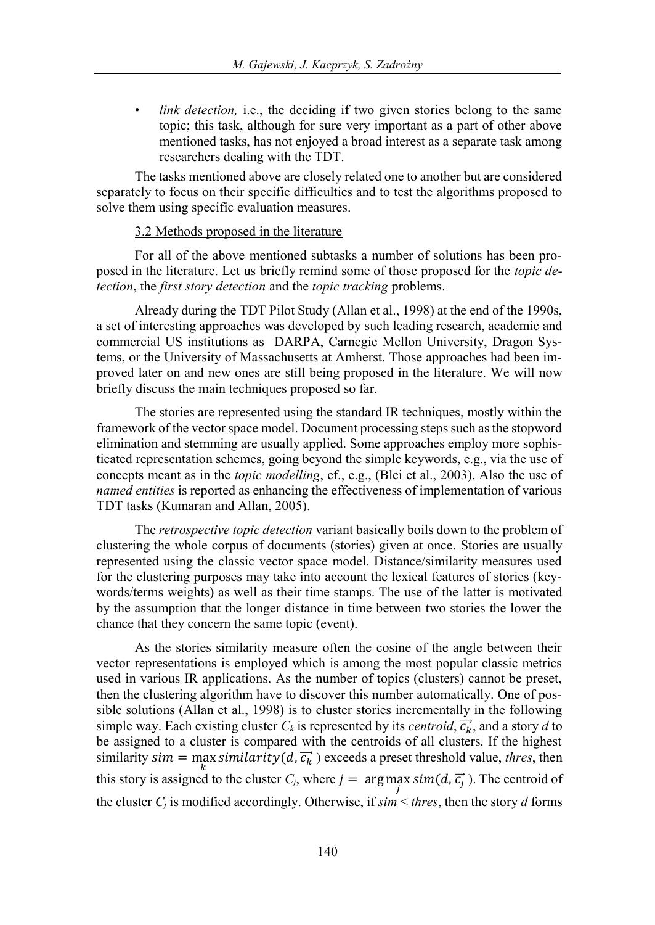*link detection, i.e., the deciding if two given stories belong to the same* topic; this task, although for sure very important as a part of other above mentioned tasks, has not enjoyed a broad interest as a separate task among researchers dealing with the TDT.

The tasks mentioned above are closely related one to another but are considered separately to focus on their specific difficulties and to test the algorithms proposed to solve them using specific evaluation measures.

## 3.2 Methods proposed in the literature

For all of the above mentioned subtasks a number of solutions has been proposed in the literature. Let us briefly remind some of those proposed for the *topic detection*, the *first story detection* and the *topic tracking* problems.

Already during the TDT Pilot Study (Allan et al., 1998) at the end of the 1990s, a set of interesting approaches was developed by such leading research, academic and commercial US institutions as DARPA, Carnegie Mellon University, Dragon Systems, or the University of Massachusetts at Amherst. Those approaches had been improved later on and new ones are still being proposed in the literature. We will now briefly discuss the main techniques proposed so far.

The stories are represented using the standard IR techniques, mostly within the framework of the vector space model. Document processing steps such as the stopword elimination and stemming are usually applied. Some approaches employ more sophisticated representation schemes, going beyond the simple keywords, e.g., via the use of concepts meant as in the *topic modelling*, cf., e.g., (Blei et al., 2003). Also the use of *named entities* is reported as enhancing the effectiveness of implementation of various TDT tasks (Kumaran and Allan, 2005).

The *retrospective topic detection* variant basically boils down to the problem of clustering the whole corpus of documents (stories) given at once. Stories are usually represented using the classic vector space model. Distance/similarity measures used for the clustering purposes may take into account the lexical features of stories (keywords/terms weights) as well as their time stamps. The use of the latter is motivated by the assumption that the longer distance in time between two stories the lower the chance that they concern the same topic (event).

As the stories similarity measure often the cosine of the angle between their vector representations is employed which is among the most popular classic metrics used in various IR applications. As the number of topics (clusters) cannot be preset, then the clustering algorithm have to discover this number automatically. One of possible solutions (Allan et al., 1998) is to cluster stories incrementally in the following simple way. Each existing cluster  $C_k$  is represented by its *centroid*,  $\vec{c_k}$ , and a story *d* to be assigned to a cluster is compared with the centroids of all clusters. If the highest similarity  $sim = \max$  similarity  $(d, \overrightarrow{c_k})$  exceeds a preset threshold value, *thres*, then this story is assigned to the cluster  $C_j$ , where  $j = \arg \max_j sim(d, \vec{c}_j)$ . The centroid of the cluster  $C_i$  is modified accordingly. Otherwise, if  $\sin \leq thres$ , then the story *d* forms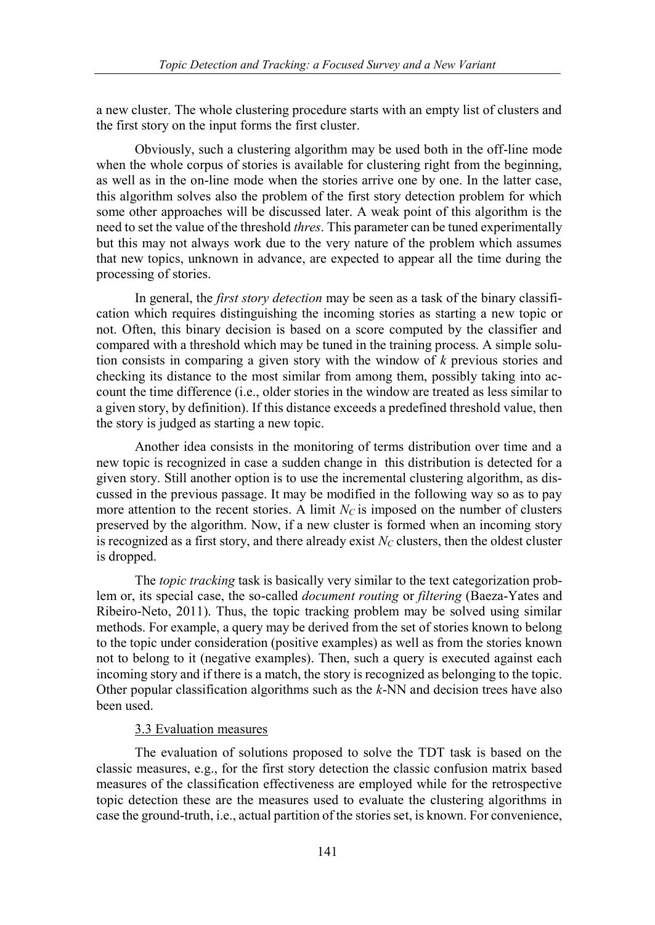a new cluster. The whole clustering procedure starts with an empty list of clusters and the first story on the input forms the first cluster.

Obviously, such a clustering algorithm may be used both in the off-line mode when the whole corpus of stories is available for clustering right from the beginning, as well as in the on-line mode when the stories arrive one by one. In the latter case, this algorithm solves also the problem of the first story detection problem for which some other approaches will be discussed later. A weak point of this algorithm is the need to set the value of the threshold *thres*. This parameter can be tuned experimentally but this may not always work due to the very nature of the problem which assumes that new topics, unknown in advance, are expected to appear all the time during the processing of stories.

In general, the *first story detection* may be seen as a task of the binary classification which requires distinguishing the incoming stories as starting a new topic or not. Often, this binary decision is based on a score computed by the classifier and compared with a threshold which may be tuned in the training process. A simple solution consists in comparing a given story with the window of *k* previous stories and checking its distance to the most similar from among them, possibly taking into account the time difference (i.e., older stories in the window are treated as less similar to a given story, by definition). If this distance exceeds a predefined threshold value, then the story is judged as starting a new topic.

Another idea consists in the monitoring of terms distribution over time and a new topic is recognized in case a sudden change in this distribution is detected for a given story. Still another option is to use the incremental clustering algorithm, as discussed in the previous passage. It may be modified in the following way so as to pay more attention to the recent stories. A limit  $N_C$  is imposed on the number of clusters preserved by the algorithm. Now, if a new cluster is formed when an incoming story is recognized as a first story, and there already exist  $N_C$  clusters, then the oldest cluster is dropped.

The *topic tracking* task is basically very similar to the text categorization problem or, its special case, the so-called *document routing* or *filtering* (Baeza-Yates and Ribeiro-Neto, 2011). Thus, the topic tracking problem may be solved using similar methods. For example, a query may be derived from the set of stories known to belong to the topic under consideration (positive examples) as well as from the stories known not to belong to it (negative examples). Then, such a query is executed against each incoming story and if there is a match, the story is recognized as belonging to the topic. Other popular classification algorithms such as the *k*-NN and decision trees have also been used.

## 3.3 Evaluation measures

The evaluation of solutions proposed to solve the TDT task is based on the classic measures, e.g., for the first story detection the classic confusion matrix based measures of the classification effectiveness are employed while for the retrospective topic detection these are the measures used to evaluate the clustering algorithms in case the ground-truth, i.e., actual partition of the stories set, is known. For convenience,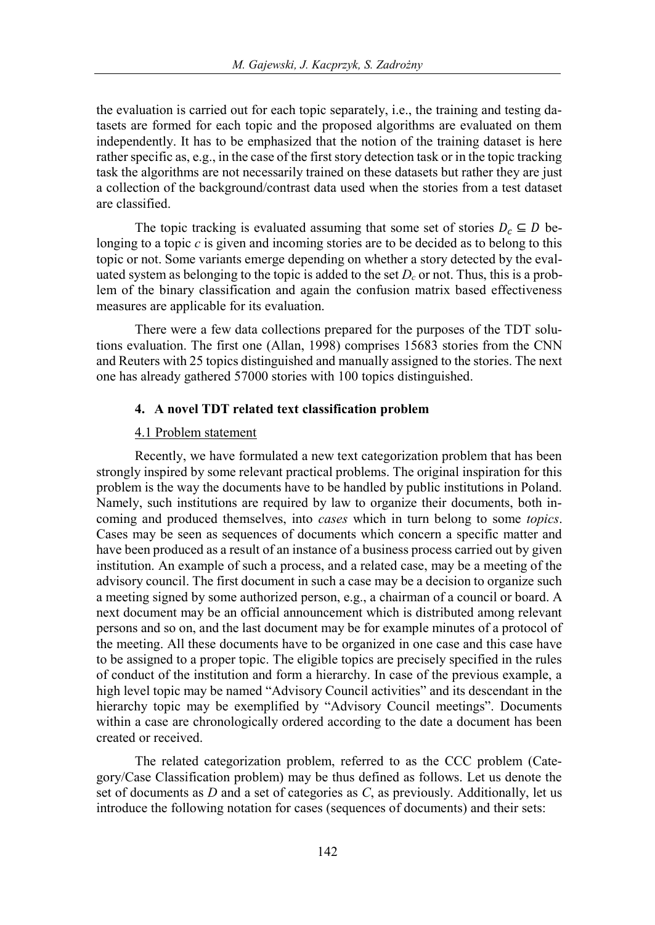the evaluation is carried out for each topic separately, i.e., the training and testing datasets are formed for each topic and the proposed algorithms are evaluated on them independently. It has to be emphasized that the notion of the training dataset is here rather specific as, e.g., in the case of the first story detection task or in the topic tracking task the algorithms are not necessarily trained on these datasets but rather they are just a collection of the background/contrast data used when the stories from a test dataset are classified.

The topic tracking is evaluated assuming that some set of stories  $D_c \subseteq D$  belonging to a topic *c* is given and incoming stories are to be decided as to belong to this topic or not. Some variants emerge depending on whether a story detected by the evaluated system as belonging to the topic is added to the set  $D_c$  or not. Thus, this is a problem of the binary classification and again the confusion matrix based effectiveness measures are applicable for its evaluation.

There were a few data collections prepared for the purposes of the TDT solutions evaluation. The first one (Allan, 1998) comprises 15683 stories from the CNN and Reuters with 25 topics distinguished and manually assigned to the stories. The next one has already gathered 57000 stories with 100 topics distinguished.

#### **4. A novel TDT related text classification problem**

#### 4.1 Problem statement

Recently, we have formulated a new text categorization problem that has been strongly inspired by some relevant practical problems. The original inspiration for this problem is the way the documents have to be handled by public institutions in Poland. Namely, such institutions are required by law to organize their documents, both incoming and produced themselves, into *cases* which in turn belong to some *topics*. Cases may be seen as sequences of documents which concern a specific matter and have been produced as a result of an instance of a business process carried out by given institution. An example of such a process, and a related case, may be a meeting of the advisory council. The first document in such a case may be a decision to organize such a meeting signed by some authorized person, e.g., a chairman of a council or board. A next document may be an official announcement which is distributed among relevant persons and so on, and the last document may be for example minutes of a protocol of the meeting. All these documents have to be organized in one case and this case have to be assigned to a proper topic. The eligible topics are precisely specified in the rules of conduct of the institution and form a hierarchy. In case of the previous example, a high level topic may be named "Advisory Council activities" and its descendant in the hierarchy topic may be exemplified by "Advisory Council meetings". Documents within a case are chronologically ordered according to the date a document has been created or received.

The related categorization problem, referred to as the CCC problem (Category/Case Classification problem) may be thus defined as follows. Let us denote the set of documents as *D* and a set of categories as *C*, as previously. Additionally, let us introduce the following notation for cases (sequences of documents) and their sets: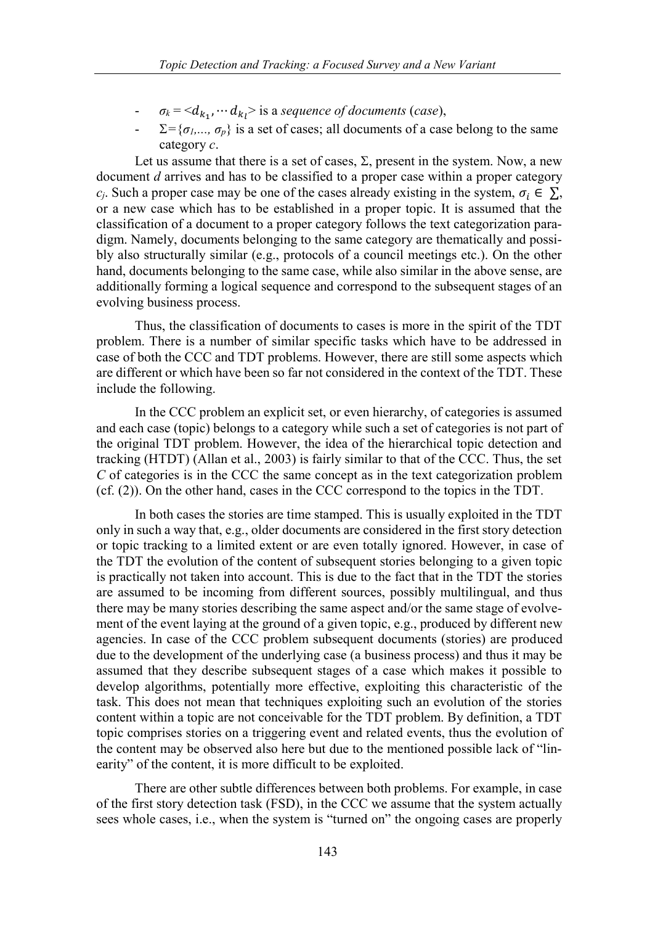- $\sigma_k = \langle d_{k_1}, \cdots d_{k_l} \rangle$  is a *sequence of documents* (*case*),
- $\Sigma = \{\sigma_1, \ldots, \sigma_p\}$  is a set of cases; all documents of a case belong to the same category *c*.

Let us assume that there is a set of cases,  $\Sigma$ , present in the system. Now, a new document *d* arrives and has to be classified to a proper case within a proper category *c<sub>i</sub>*. Such a proper case may be one of the cases already existing in the system,  $\sigma_i \in \Sigma$ , or a new case which has to be established in a proper topic. It is assumed that the classification of a document to a proper category follows the text categorization paradigm. Namely, documents belonging to the same category are thematically and possibly also structurally similar (e.g., protocols of a council meetings etc.). On the other hand, documents belonging to the same case, while also similar in the above sense, are additionally forming a logical sequence and correspond to the subsequent stages of an evolving business process.

Thus, the classification of documents to cases is more in the spirit of the TDT problem. There is a number of similar specific tasks which have to be addressed in case of both the CCC and TDT problems. However, there are still some aspects which are different or which have been so far not considered in the context of the TDT. These include the following.

In the CCC problem an explicit set, or even hierarchy, of categories is assumed and each case (topic) belongs to a category while such a set of categories is not part of the original TDT problem. However, the idea of the hierarchical topic detection and tracking (HTDT) (Allan et al., 2003) is fairly similar to that of the CCC. Thus, the set *C* of categories is in the CCC the same concept as in the text categorization problem (cf. (2)). On the other hand, cases in the CCC correspond to the topics in the TDT.

In both cases the stories are time stamped. This is usually exploited in the TDT only in such a way that, e.g., older documents are considered in the first story detection or topic tracking to a limited extent or are even totally ignored. However, in case of the TDT the evolution of the content of subsequent stories belonging to a given topic is practically not taken into account. This is due to the fact that in the TDT the stories are assumed to be incoming from different sources, possibly multilingual, and thus there may be many stories describing the same aspect and/or the same stage of evolvement of the event laying at the ground of a given topic, e.g., produced by different new agencies. In case of the CCC problem subsequent documents (stories) are produced due to the development of the underlying case (a business process) and thus it may be assumed that they describe subsequent stages of a case which makes it possible to develop algorithms, potentially more effective, exploiting this characteristic of the task. This does not mean that techniques exploiting such an evolution of the stories content within a topic are not conceivable for the TDT problem. By definition, a TDT topic comprises stories on a triggering event and related events, thus the evolution of the content may be observed also here but due to the mentioned possible lack of "linearity" of the content, it is more difficult to be exploited.

There are other subtle differences between both problems. For example, in case of the first story detection task (FSD), in the CCC we assume that the system actually sees whole cases, i.e., when the system is "turned on" the ongoing cases are properly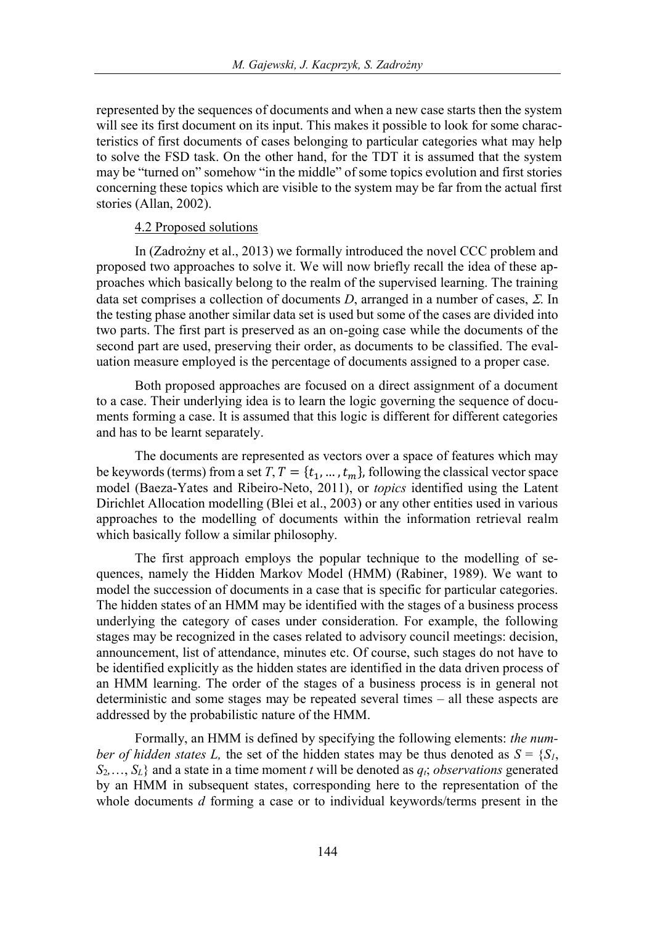represented by the sequences of documents and when a new case starts then the system will see its first document on its input. This makes it possible to look for some characteristics of first documents of cases belonging to particular categories what may help to solve the FSD task. On the other hand, for the TDT it is assumed that the system may be "turned on" somehow "in the middle" of some topics evolution and first stories concerning these topics which are visible to the system may be far from the actual first stories (Allan, 2002).

## 4.2 Proposed solutions

In (Zadrożny et al., 2013) we formally introduced the novel CCC problem and proposed two approaches to solve it. We will now briefly recall the idea of these approaches which basically belong to the realm of the supervised learning. The training data set comprises a collection of documents *D*, arranged in a number of cases,  $\Sigma$ . In the testing phase another similar data set is used but some of the cases are divided into two parts. The first part is preserved as an on-going case while the documents of the second part are used, preserving their order, as documents to be classified. The evaluation measure employed is the percentage of documents assigned to a proper case.

Both proposed approaches are focused on a direct assignment of a document to a case. Their underlying idea is to learn the logic governing the sequence of documents forming a case. It is assumed that this logic is different for different categories and has to be learnt separately.

The documents are represented as vectors over a space of features which may be keywords (terms) from a set  $T, T = \{t_1, ..., t_m\}$ , following the classical vector space model (Baeza-Yates and Ribeiro-Neto, 2011), or *topics* identified using the Latent Dirichlet Allocation modelling (Blei et al., 2003) or any other entities used in various approaches to the modelling of documents within the information retrieval realm which basically follow a similar philosophy.

The first approach employs the popular technique to the modelling of sequences, namely the Hidden Markov Model (HMM) (Rabiner, 1989). We want to model the succession of documents in a case that is specific for particular categories. The hidden states of an HMM may be identified with the stages of a business process underlying the category of cases under consideration. For example, the following stages may be recognized in the cases related to advisory council meetings: decision, announcement, list of attendance, minutes etc. Of course, such stages do not have to be identified explicitly as the hidden states are identified in the data driven process of an HMM learning. The order of the stages of a business process is in general not deterministic and some stages may be repeated several times – all these aspects are addressed by the probabilistic nature of the HMM.

Formally, an HMM is defined by specifying the following elements: *the number of hidden states L,* the set of the hidden states may be thus denoted as  $S = \{S_I, \}$  $S_2, \ldots, S_L$  and a state in a time moment *t* will be denoted as  $q_i$ ; *observations* generated by an HMM in subsequent states, corresponding here to the representation of the whole documents *d* forming a case or to individual keywords/terms present in the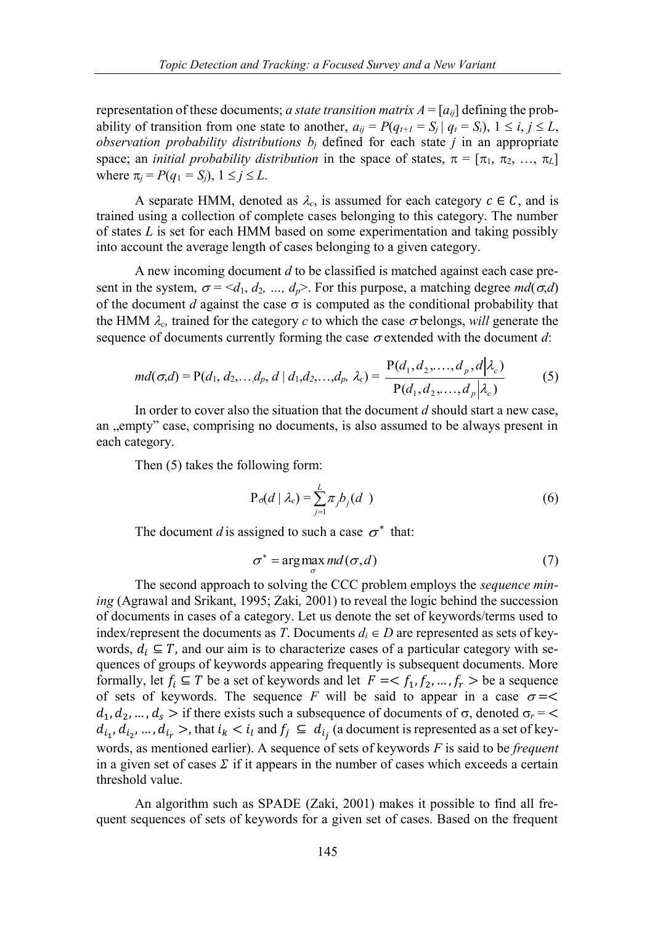representation of these documents; *a state transition matrix*  $A = [a_{ij}]$  defining the probability of transition from one state to another,  $a_{ii} = P(q_{t+1} = S_i | q_t = S_i)$ ,  $1 \le i, j \le L$ , *observation probability distributions*  $b_j$  defined for each state *j* in an appropriate space; an *initial probability distribution* in the space of states,  $\pi = [\pi_1, \pi_2, ..., \pi_L]$ where  $\pi_i = P(q_1 = S_i)$ ,  $1 \leq j \leq L$ .

A separate HMM, denoted as  $\lambda_c$ , is assumed for each category  $c \in \mathcal{C}$ , and is trained using a collection of complete cases belonging to this category. The number of states *L* is set for each HMM based on some experimentation and taking possibly into account the average length of cases belonging to a given category.

A new incoming document *d* to be classified is matched against each case present in the system,  $\sigma = \langle d_1, d_2, ..., d_p \rangle$ . For this purpose, a matching degree  $md(\sigma,d)$ of the document *d* against the case  $\sigma$  is computed as the conditional probability that the HMM  $\lambda_c$ , trained for the category *c* to which the case  $\sigma$  belongs, *will* generate the sequence of documents currently forming the case  $\sigma$  extended with the document *d*:

$$
md(\sigma,d) = P(d_1, d_2,..., d_p, d \mid d_1, d_2,..., d_p, \lambda_c) = \frac{P(d_1, d_2,..., d_p, d \mid \lambda_c)}{P(d_1, d_2,..., d_p \mid \lambda_c)}
$$
(5)

In order to cover also the situation that the document *d* should start a new case, an "empty" case, comprising no documents, is also assumed to be always present in each category.

Then (5) takes the following form:

$$
P_o(d \mid \lambda_c) = \sum_{j=1}^{L} \pi_j b_j(d)
$$
 (6)

The document *d* is assigned to such a case  $\sigma^*$  that:

$$
\sigma^* = \arg\max md(\sigma, d)
$$
 (7)

The second approach to solving the CCC problem employs the *sequence mining* (Agrawal and Srikant, 1995; Zaki*,* 2001) to reveal the logic behind the succession of documents in cases of a category. Let us denote the set of keywords/terms used to index/represent the documents as *T*. Documents  $d_i \in D$  are represented as sets of keywords,  $d_i \subseteq T$ , and our aim is to characterize cases of a particular category with sequences of groups of keywords appearing frequently is subsequent documents. More formally, let  $f_i \subseteq T$  be a set of keywords and let  $F = \langle f_1, f_2, ..., f_r \rangle$  be a sequence of sets of keywords. The sequence *F* will be said to appear in a case  $\sigma =$  $d_1, d_2, ..., d_s$  > if there exists such a subsequence of documents of  $\sigma$ , denoted  $\sigma_r$  = <  $d_{i_1}, d_{i_2}, ..., d_{i_r} >$ , that  $i_k < i_l$  and  $f_j \subseteq d_{i_j}$  (a document is represented as a set of keywords, as mentioned earlier). A sequence of sets of keywords *F* is said to be *frequent* in a given set of cases  $\Sigma$  if it appears in the number of cases which exceeds a certain threshold value.

σ

An algorithm such as SPADE (Zaki, 2001) makes it possible to find all frequent sequences of sets of keywords for a given set of cases. Based on the frequent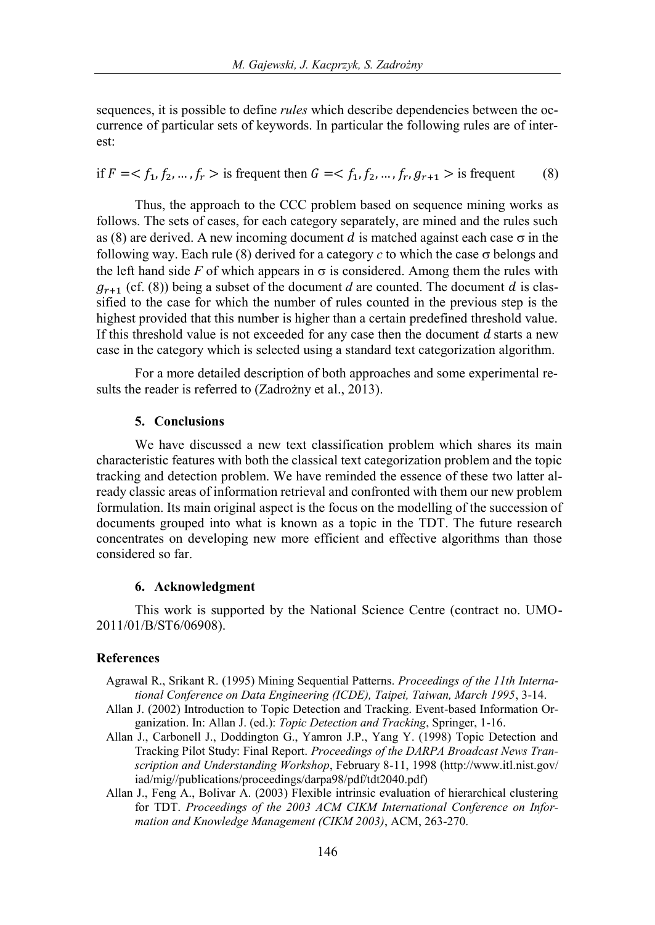sequences, it is possible to define *rules* which describe dependencies between the occurrence of particular sets of keywords. In particular the following rules are of interest:

if  $F = \langle f_1, f_2, ..., f_r \rangle$  is frequent then  $G = \langle f_1, f_2, ..., f_r, g_{r+1} \rangle$  is frequent (8)

Thus, the approach to the CCC problem based on sequence mining works as follows. The sets of cases, for each category separately, are mined and the rules such as (8) are derived. A new incoming document d is matched against each case  $\sigma$  in the following way. Each rule (8) derived for a category  $c$  to which the case  $\sigma$  belongs and the left hand side  $F$  of which appears in  $\sigma$  is considered. Among them the rules with  $g_{r+1}$  (cf. (8)) being a subset of the document *d* are counted. The document *d* is classified to the case for which the number of rules counted in the previous step is the highest provided that this number is higher than a certain predefined threshold value. If this threshold value is not exceeded for any case then the document  $d$  starts a new case in the category which is selected using a standard text categorization algorithm.

For a more detailed description of both approaches and some experimental results the reader is referred to (Zadrożny et al., 2013).

# **5. Conclusions**

We have discussed a new text classification problem which shares its main characteristic features with both the classical text categorization problem and the topic tracking and detection problem. We have reminded the essence of these two latter already classic areas of information retrieval and confronted with them our new problem formulation. Its main original aspect is the focus on the modelling of the succession of documents grouped into what is known as a topic in the TDT. The future research concentrates on developing new more efficient and effective algorithms than those considered so far.

#### **6. Acknowledgment**

This work is supported by the National Science Centre (contract no. UMO-2011/01/B/ST6/06908).

### **References**

- Agrawal R., Srikant R. (1995) Mining Sequential Patterns. *Proceedings of the 11th International Conference on Data Engineering (ICDE), Taipei, Taiwan, March 1995*, 3-14.
- Allan J. (2002) Introduction to Topic Detection and Tracking. Event-based Information Organization. In: Allan J. (ed.): *Topic Detection and Tracking*, Springer, 1-16.
- Allan J., Carbonell J., Doddington G., Yamron J.P., Yang Y. (1998) Topic Detection and Tracking Pilot Study: Final Report. *Proceedings of the DARPA Broadcast News Transcription and Understanding Workshop*, February 8-11, 1998 (http://www.itl.nist.gov/ iad/mig//publications/proceedings/darpa98/pdf/tdt2040.pdf)
- Allan J., Feng A., Bolivar A. (2003) Flexible intrinsic evaluation of hierarchical clustering for TDT. *Proceedings of the 2003 ACM CIKM International Conference on Information and Knowledge Management (CIKM 2003)*, ACM, 263-270.